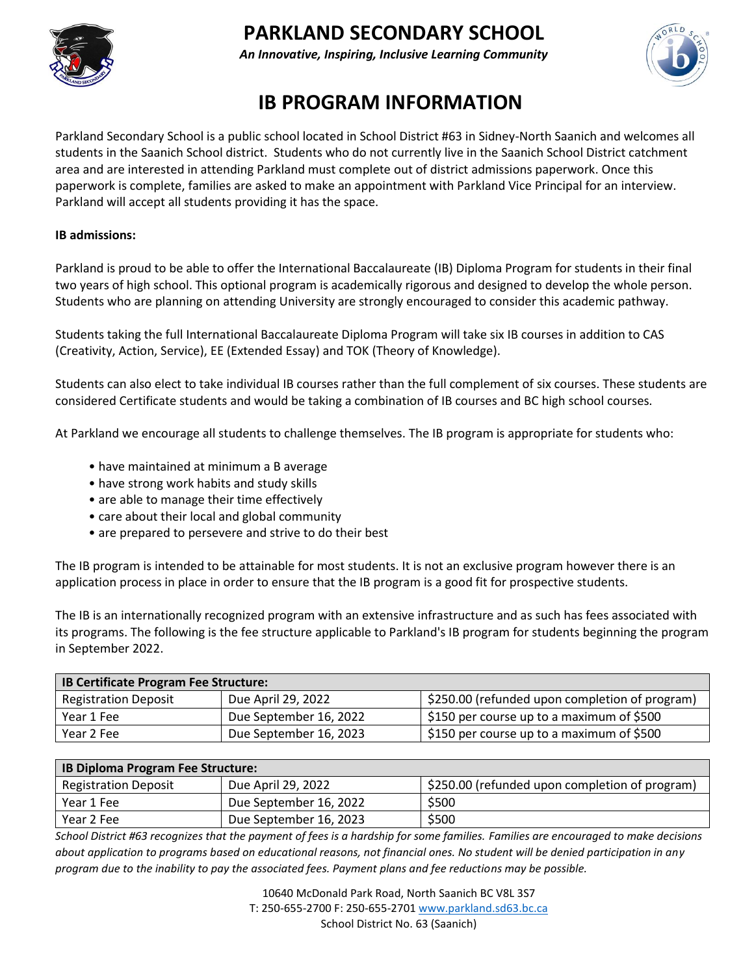

# **PARKLAND SECONDARY SCHOOL**

*An Innovative, Inspiring, Inclusive Learning Community*



## **IB PROGRAM INFORMATION**

Parkland Secondary School is a public school located in School District #63 in Sidney-North Saanich and welcomes all students in the Saanich School district. Students who do not currently live in the Saanich School District catchment area and are interested in attending Parkland must complete out of district admissions paperwork. Once this paperwork is complete, families are asked to make an appointment with Parkland Vice Principal for an interview. Parkland will accept all students providing it has the space.

### **IB admissions:**

Parkland is proud to be able to offer the International Baccalaureate (IB) Diploma Program for students in their final two years of high school. This optional program is academically rigorous and designed to develop the whole person. Students who are planning on attending University are strongly encouraged to consider this academic pathway.

Students taking the full International Baccalaureate Diploma Program will take six IB courses in addition to CAS (Creativity, Action, Service), EE (Extended Essay) and TOK (Theory of Knowledge).

Students can also elect to take individual IB courses rather than the full complement of six courses. These students are considered Certificate students and would be taking a combination of IB courses and BC high school courses.

At Parkland we encourage all students to challenge themselves. The IB program is appropriate for students who:

- have maintained at minimum a B average
- have strong work habits and study skills
- are able to manage their time effectively
- care about their local and global community
- are prepared to persevere and strive to do their best

The IB program is intended to be attainable for most students. It is not an exclusive program however there is an application process in place in order to ensure that the IB program is a good fit for prospective students.

The IB is an internationally recognized program with an extensive infrastructure and as such has fees associated with its programs. The following is the fee structure applicable to Parkland's IB program for students beginning the program in September 2022.

| <b>IB Certificate Program Fee Structure:</b> |                        |                                                |
|----------------------------------------------|------------------------|------------------------------------------------|
| <b>Registration Deposit</b>                  | Due April 29, 2022     | \$250.00 (refunded upon completion of program) |
| Year 1 Fee                                   | Due September 16, 2022 | \$150 per course up to a maximum of \$500      |
| Year 2 Fee                                   | Due September 16, 2023 | \$150 per course up to a maximum of \$500      |

| <b>IB Diploma Program Fee Structure:</b> |                        |                                                |
|------------------------------------------|------------------------|------------------------------------------------|
| <b>Registration Deposit</b>              | Due April 29, 2022     | \$250.00 (refunded upon completion of program) |
| Year 1 Fee                               | Due September 16, 2022 | \$500                                          |
| Year 2 Fee                               | Due September 16, 2023 | \$500                                          |

*School District #63 recognizes that the payment of fees is a hardship for some families. Families are encouraged to make decisions about application to programs based on educational reasons, not financial ones. No student will be denied participation in any program due to the inability to pay the associated fees. Payment plans and fee reductions may be possible.*

> 10640 McDonald Park Road, North Saanich BC V8L 3S7 T: 250-655-2700 F: 250-655-2701 [www.parkland.sd63.bc.ca](http://www.parkland.sd63.bc.ca/) School District No. 63 (Saanich)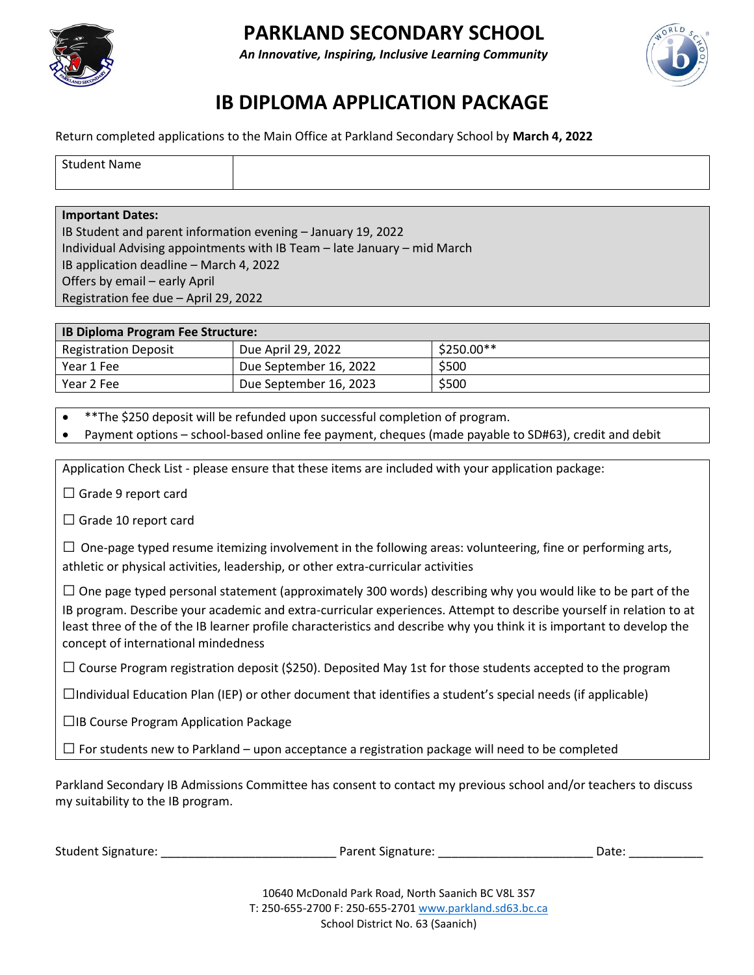

### **PARKLAND SECONDARY SCHOOL**

*An Innovative, Inspiring, Inclusive Learning Community*



## **IB DIPLOMA APPLICATION PACKAGE**

Return completed applications to the Main Office at Parkland Secondary School by **March 4, 2022**

| Student<br><b>Name</b> |  |
|------------------------|--|
|                        |  |

#### **Important Dates:**

IB Student and parent information evening – January 19, 2022 Individual Advising appointments with IB Team – late January – mid March IB application deadline – March 4, 2022 Offers by email – early April Registration fee due – April 29, 2022

| <b>IB Diploma Program Fee Structure:</b> |                        |             |
|------------------------------------------|------------------------|-------------|
| <b>Registration Deposit</b>              | Due April 29, 2022     | $$250.00**$ |
| Year 1 Fee                               | Due September 16, 2022 | \$500       |
| Year 2 Fee                               | Due September 16, 2023 | \$500       |

• \*\*The \$250 deposit will be refunded upon successful completion of program.

• Payment options – school-based online fee payment, cheques (made payable to SD#63), credit and debit

Application Check List - please ensure that these items are included with your application package:

 $\Box$  Grade 9 report card

 $\square$  Grade 10 report card

 $\Box$  One-page typed resume itemizing involvement in the following areas: volunteering, fine or performing arts, athletic or physical activities, leadership, or other extra-curricular activities

 $\Box$  One page typed personal statement (approximately 300 words) describing why you would like to be part of the IB program. Describe your academic and extra-curricular experiences. Attempt to describe yourself in relation to at least three of the of the IB learner profile characteristics and describe why you think it is important to develop the concept of international mindedness

 $\Box$  Course Program registration deposit (\$250). Deposited May 1st for those students accepted to the program

 $\Box$ Individual Education Plan (IEP) or other document that identifies a student's special needs (if applicable)

□IB Course Program Application Package

 $\square$  For students new to Parkland – upon acceptance a registration package will need to be completed

Parkland Secondary IB Admissions Committee has consent to contact my previous school and/or teachers to discuss my suitability to the IB program.

| <b>Student Signature:</b> | Parent Signature: | Date |
|---------------------------|-------------------|------|
|                           |                   |      |

10640 McDonald Park Road, North Saanich BC V8L 3S7 T: 250-655-2700 F: 250-655-2701 [www.parkland.sd63.bc.ca](http://www.parkland.sd63.bc.ca/) School District No. 63 (Saanich)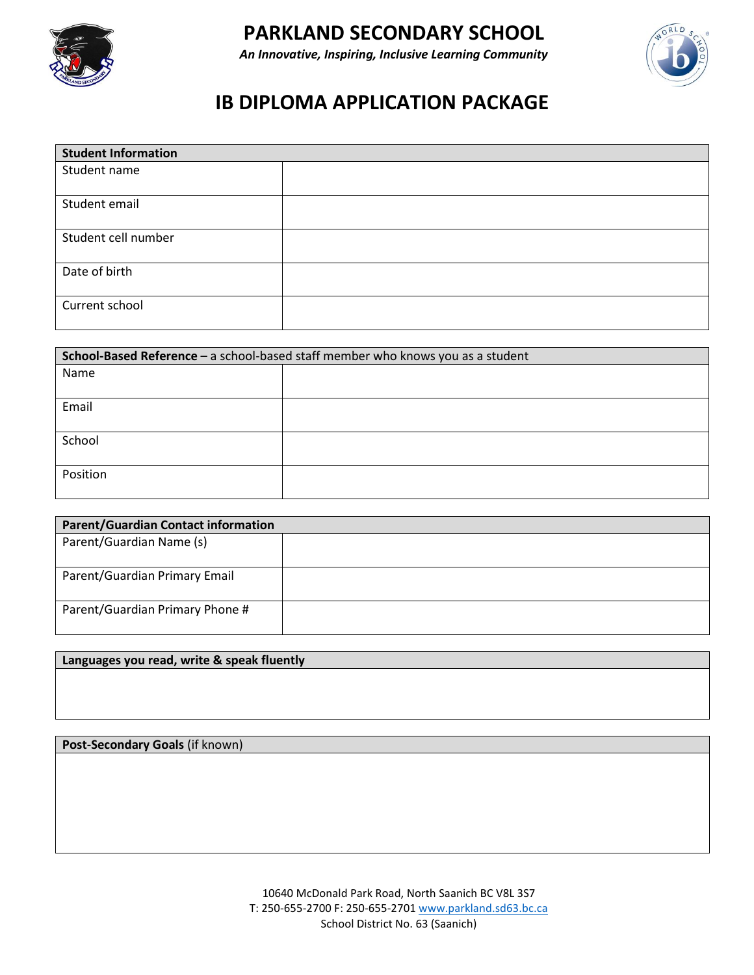



# **IB DIPLOMA APPLICATION PACKAGE**

| <b>Student Information</b> |  |
|----------------------------|--|
| Student name               |  |
|                            |  |
| Student email              |  |
|                            |  |
| Student cell number        |  |
| Date of birth              |  |
| Current school             |  |

| School-Based Reference - a school-based staff member who knows you as a student |  |  |
|---------------------------------------------------------------------------------|--|--|
| Name                                                                            |  |  |
|                                                                                 |  |  |
| Email                                                                           |  |  |
|                                                                                 |  |  |
| School                                                                          |  |  |
| Position                                                                        |  |  |

| <b>Parent/Guardian Contact information</b> |  |
|--------------------------------------------|--|
| Parent/Guardian Name (s)                   |  |
| Parent/Guardian Primary Email              |  |
| Parent/Guardian Primary Phone #            |  |

### **Languages you read, write & speak fluently**

### **Post-Secondary Goals** (if known)